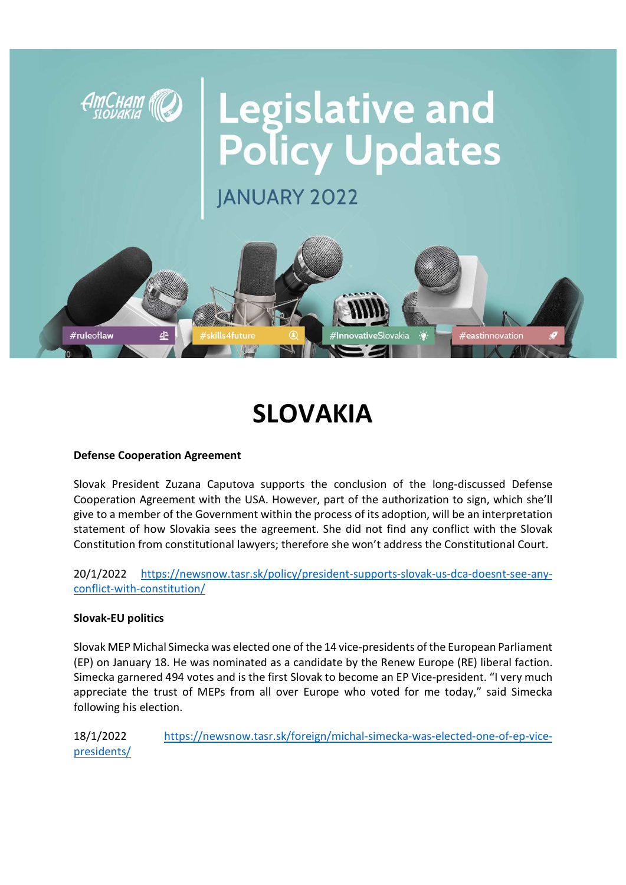

# SLOVAKIA

### Defense Cooperation Agreement

Slovak President Zuzana Caputova supports the conclusion of the long-discussed Defense Cooperation Agreement with the USA. However, part of the authorization to sign, which she'll give to a member of the Government within the process of its adoption, will be an interpretation statement of how Slovakia sees the agreement. She did not find any conflict with the Slovak Constitution from constitutional lawyers; therefore she won't address the Constitutional Court.

20/1/2022 https://newsnow.tasr.sk/policy/president-supports-slovak-us-dca-doesnt-see-anyconflict-with-constitution/

### Slovak-EU politics

Slovak MEP Michal Simecka was elected one of the 14 vice-presidents of the European Parliament (EP) on January 18. He was nominated as a candidate by the Renew Europe (RE) liberal faction. Simecka garnered 494 votes and is the first Slovak to become an EP Vice-president. "I very much appreciate the trust of MEPs from all over Europe who voted for me today," said Simecka following his election.

18/1/2022 https://newsnow.tasr.sk/foreign/michal-simecka-was-elected-one-of-ep-vicepresidents/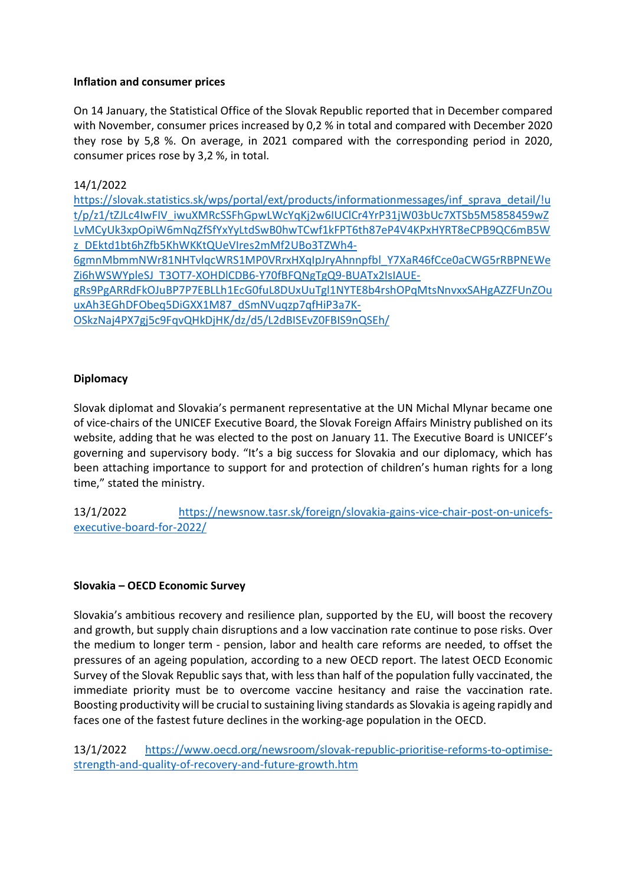## Inflation and consumer prices

On 14 January, the Statistical Office of the Slovak Republic reported that in December compared with November, consumer prices increased by 0,2 % in total and compared with December 2020 they rose by 5,8 %. On average, in 2021 compared with the corresponding period in 2020, consumer prices rose by 3,2 %, in total.

## 14/1/2022

https://slovak.statistics.sk/wps/portal/ext/products/informationmessages/inf\_sprava\_detail/!u t/p/z1/tZJLc4IwFIV\_iwuXMRcSSFhGpwLWcYqKj2w6IUClCr4YrP31jW03bUc7XTSb5M5858459wZ LvMCyUk3xpOpiW6mNqZfSfYxYyLtdSwB0hwTCwf1kFPT6th87eP4V4KPxHYRT8eCPB9QC6mB5W z\_DEktd1bt6hZfb5KhWKKtQUeVIres2mMf2UBo3TZWh4- 6gmnMbmmNWr81NHTvlqcWRS1MP0VRrxHXqIpJryAhnnpfbl\_Y7XaR46fCce0aCWG5rRBPNEWe Zi6hWSWYpleSJ\_T3OT7-XOHDlCDB6-Y70fBFQNgTgQ9-BUATx2IsIAUEgRs9PgARRdFkOJuBP7P7EBLLh1EcG0fuL8DUxUuTgl1NYTE8b4rshOPqMtsNnvxxSAHgAZZFUnZOu uxAh3EGhDFObeq5DiGXX1M87\_dSmNVuqzp7qfHiP3a7K-OSkzNaj4PX7gj5c9FqvQHkDjHK/dz/d5/L2dBISEvZ0FBIS9nQSEh/

# **Diplomacy**

Slovak diplomat and Slovakia's permanent representative at the UN Michal Mlynar became one of vice-chairs of the UNICEF Executive Board, the Slovak Foreign Affairs Ministry published on its website, adding that he was elected to the post on January 11. The Executive Board is UNICEF's governing and supervisory body. "It's a big success for Slovakia and our diplomacy, which has been attaching importance to support for and protection of children's human rights for a long time," stated the ministry.

13/1/2022 https://newsnow.tasr.sk/foreign/slovakia-gains-vice-chair-post-on-unicefsexecutive-board-for-2022/

### Slovakia – OECD Economic Survey

Slovakia's ambitious recovery and resilience plan, supported by the EU, will boost the recovery and growth, but supply chain disruptions and a low vaccination rate continue to pose risks. Over the medium to longer term - pension, labor and health care reforms are needed, to offset the pressures of an ageing population, according to a new OECD report. The latest OECD Economic Survey of the Slovak Republic says that, with less than half of the population fully vaccinated, the immediate priority must be to overcome vaccine hesitancy and raise the vaccination rate. Boosting productivity will be crucial to sustaining living standards as Slovakia is ageing rapidly and faces one of the fastest future declines in the working-age population in the OECD.

13/1/2022 https://www.oecd.org/newsroom/slovak-republic-prioritise-reforms-to-optimisestrength-and-quality-of-recovery-and-future-growth.htm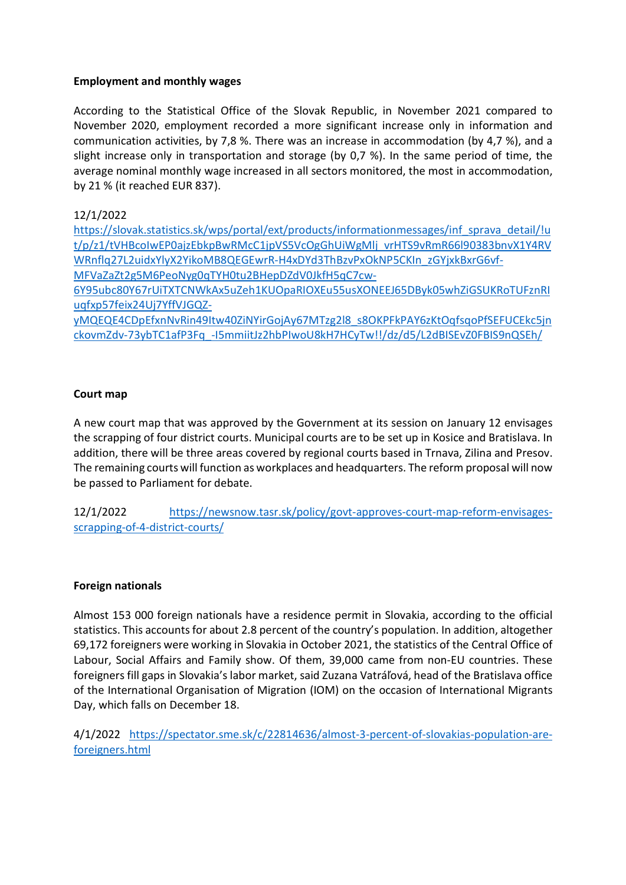## Employment and monthly wages

According to the Statistical Office of the Slovak Republic, in November 2021 compared to November 2020, employment recorded a more significant increase only in information and communication activities, by 7,8 %. There was an increase in accommodation (by 4,7 %), and a slight increase only in transportation and storage (by 0,7 %). In the same period of time, the average nominal monthly wage increased in all sectors monitored, the most in accommodation, by 21 % (it reached EUR 837).

12/1/2022

https://slovak.statistics.sk/wps/portal/ext/products/informationmessages/inf\_sprava\_detail/!u t/p/z1/tVHBcoIwEP0ajzEbkpBwRMcC1jpVS5VcOgGhUiWgMlj\_vrHTS9vRmR66l90383bnvX1Y4RV WRnflq27L2uidxYlyX2YikoMB8QEGEwrR-H4xDYd3ThBzvPxOkNP5CKIn\_zGYjxkBxrG6vf-MFVaZaZt2g5M6PeoNyg0qTYH0tu2BHepDZdV0JkfH5qC7cw-6Y95ubc80Y67rUiTXTCNWkAx5uZeh1KUOpaRIOXEu55usXONEEJ65DByk05whZiGSUKRoTUFznRI

uqfxp57feix24Uj7YffVJGQZ-

yMQEQE4CDpEfxnNvRin49Itw40ZiNYirGojAy67MTzg2l8\_s8OKPFkPAY6zKtOqfsqoPfSEFUCEkc5jn ckovmZdv-73ybTC1afP3Fq\_-I5mmiitJz2hbPIwoU8kH7HCyTw!!/dz/d5/L2dBISEvZ0FBIS9nQSEh/

## Court map

A new court map that was approved by the Government at its session on January 12 envisages the scrapping of four district courts. Municipal courts are to be set up in Kosice and Bratislava. In addition, there will be three areas covered by regional courts based in Trnava, Zilina and Presov. The remaining courts will function as workplaces and headquarters. The reform proposal will now be passed to Parliament for debate.

12/1/2022 https://newsnow.tasr.sk/policy/govt-approves-court-map-reform-envisagesscrapping-of-4-district-courts/

### Foreign nationals

Almost 153 000 foreign nationals have a residence permit in Slovakia, according to the official statistics. This accounts for about 2.8 percent of the country's population. In addition, altogether 69,172 foreigners were working in Slovakia in October 2021, the statistics of the Central Office of Labour, Social Affairs and Family show. Of them, 39,000 came from non-EU countries. These foreigners fill gaps in Slovakia's labor market, said Zuzana Vatráľová, head of the Bratislava office of the International Organisation of Migration (IOM) on the occasion of International Migrants Day, which falls on December 18.

4/1/2022 https://spectator.sme.sk/c/22814636/almost-3-percent-of-slovakias-population-areforeigners.html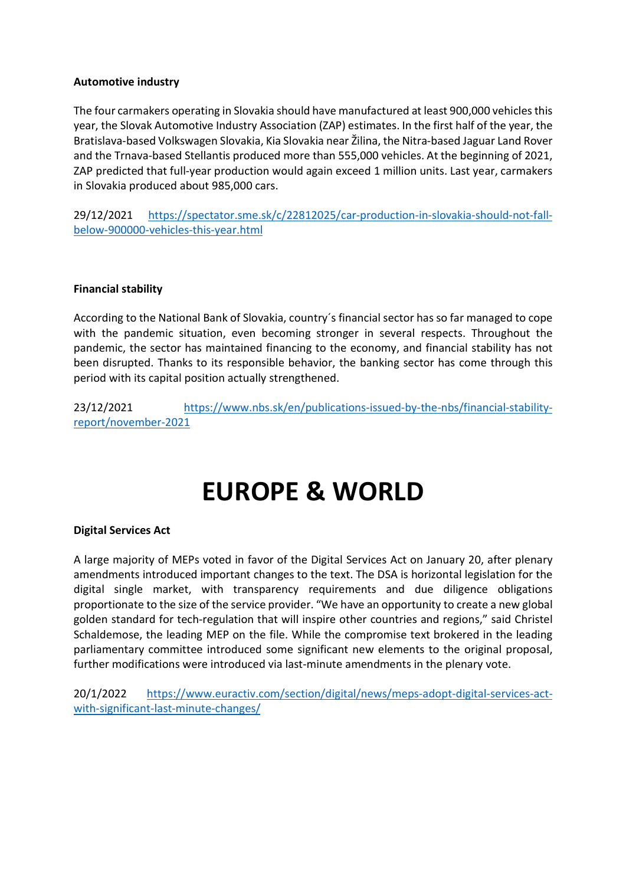### Automotive industry

The four carmakers operating in Slovakia should have manufactured at least 900,000 vehicles this year, the Slovak Automotive Industry Association (ZAP) estimates. In the first half of the year, the Bratislava-based Volkswagen Slovakia, Kia Slovakia near Žilina, the Nitra-based Jaguar Land Rover and the Trnava-based Stellantis produced more than 555,000 vehicles. At the beginning of 2021, ZAP predicted that full-year production would again exceed 1 million units. Last year, carmakers in Slovakia produced about 985,000 cars.

29/12/2021 https://spectator.sme.sk/c/22812025/car-production-in-slovakia-should-not-fallbelow-900000-vehicles-this-year.html

### Financial stability

According to the National Bank of Slovakia, country´s financial sector has so far managed to cope with the pandemic situation, even becoming stronger in several respects. Throughout the pandemic, the sector has maintained financing to the economy, and financial stability has not been disrupted. Thanks to its responsible behavior, the banking sector has come through this period with its capital position actually strengthened.

23/12/2021 https://www.nbs.sk/en/publications-issued-by-the-nbs/financial-stabilityreport/november-2021

# EUROPE & WORLD

### Digital Services Act

A large majority of MEPs voted in favor of the Digital Services Act on January 20, after plenary amendments introduced important changes to the text. The DSA is horizontal legislation for the digital single market, with transparency requirements and due diligence obligations proportionate to the size of the service provider. "We have an opportunity to create a new global golden standard for tech-regulation that will inspire other countries and regions," said Christel Schaldemose, the leading MEP on the file. While the compromise text brokered in the leading parliamentary committee introduced some significant new elements to the original proposal, further modifications were introduced via last-minute amendments in the plenary vote.

20/1/2022 https://www.euractiv.com/section/digital/news/meps-adopt-digital-services-actwith-significant-last-minute-changes/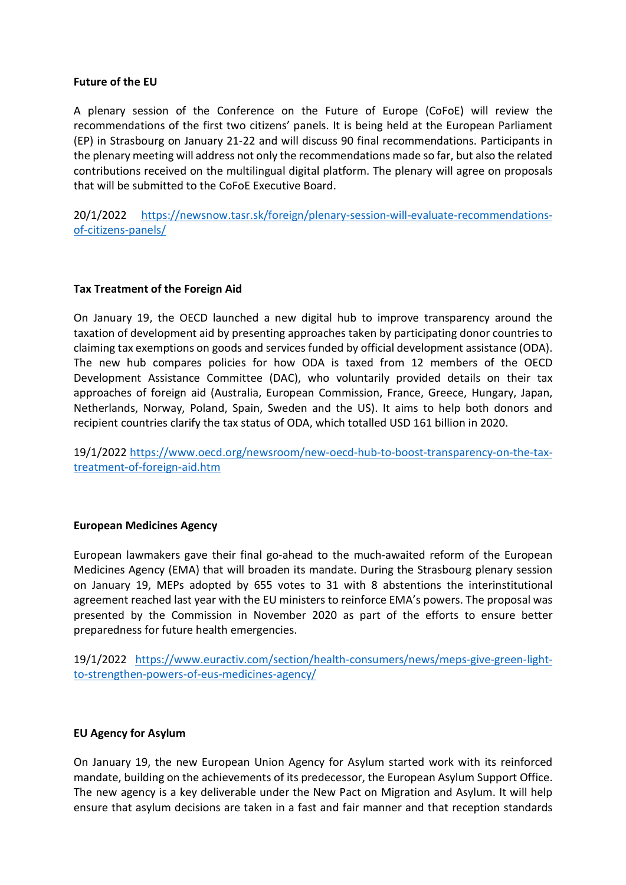### Future of the EU

A plenary session of the Conference on the Future of Europe (CoFoE) will review the recommendations of the first two citizens' panels. It is being held at the European Parliament (EP) in Strasbourg on January 21-22 and will discuss 90 final recommendations. Participants in the plenary meeting will address not only the recommendations made so far, but also the related contributions received on the multilingual digital platform. The plenary will agree on proposals that will be submitted to the CoFoE Executive Board.

20/1/2022 https://newsnow.tasr.sk/foreign/plenary-session-will-evaluate-recommendationsof-citizens-panels/

### Tax Treatment of the Foreign Aid

On January 19, the OECD launched a new digital hub to improve transparency around the taxation of development aid by presenting approaches taken by participating donor countries to claiming tax exemptions on goods and services funded by official development assistance (ODA). The new hub compares policies for how ODA is taxed from 12 members of the OECD Development Assistance Committee (DAC), who voluntarily provided details on their tax approaches of foreign aid (Australia, European Commission, France, Greece, Hungary, Japan, Netherlands, Norway, Poland, Spain, Sweden and the US). It aims to help both donors and recipient countries clarify the tax status of ODA, which totalled USD 161 billion in 2020.

19/1/2022 https://www.oecd.org/newsroom/new-oecd-hub-to-boost-transparency-on-the-taxtreatment-of-foreign-aid.htm

### European Medicines Agency

European lawmakers gave their final go-ahead to the much-awaited reform of the European Medicines Agency (EMA) that will broaden its mandate. During the Strasbourg plenary session on January 19, MEPs adopted by 655 votes to 31 with 8 abstentions the interinstitutional agreement reached last year with the EU ministers to reinforce EMA's powers. The proposal was presented by the Commission in November 2020 as part of the efforts to ensure better preparedness for future health emergencies.

19/1/2022 https://www.euractiv.com/section/health-consumers/news/meps-give-green-lightto-strengthen-powers-of-eus-medicines-agency/

### EU Agency for Asylum

On January 19, the new European Union Agency for Asylum started work with its reinforced mandate, building on the achievements of its predecessor, the European Asylum Support Office. The new agency is a key deliverable under the New Pact on Migration and Asylum. It will help ensure that asylum decisions are taken in a fast and fair manner and that reception standards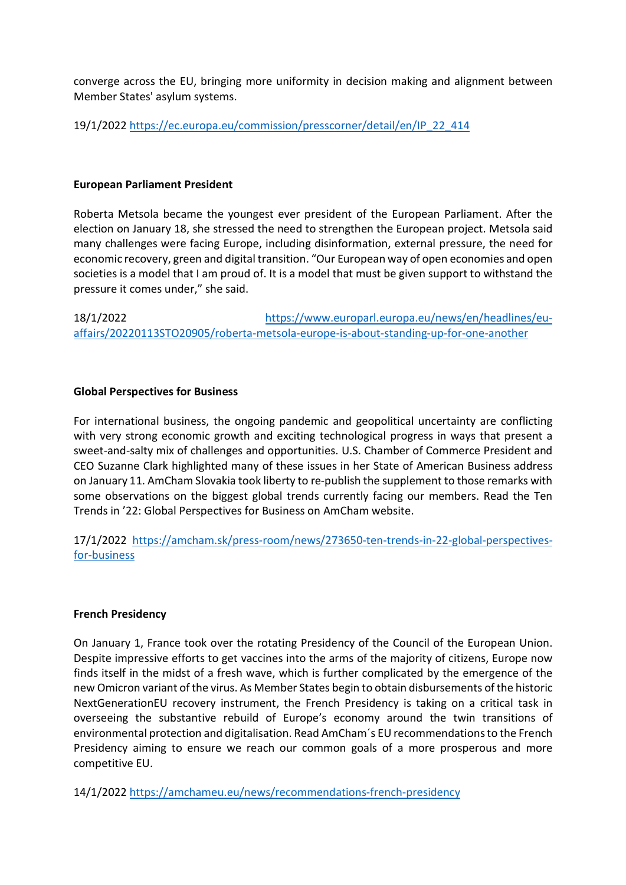converge across the EU, bringing more uniformity in decision making and alignment between Member States' asylum systems.

19/1/2022 https://ec.europa.eu/commission/presscorner/detail/en/IP\_22\_414

### European Parliament President

Roberta Metsola became the youngest ever president of the European Parliament. After the election on January 18, she stressed the need to strengthen the European project. Metsola said many challenges were facing Europe, including disinformation, external pressure, the need for economic recovery, green and digital transition. "Our European way of open economies and open societies is a model that I am proud of. It is a model that must be given support to withstand the pressure it comes under," she said.

18/1/2022 https://www.europarl.europa.eu/news/en/headlines/euaffairs/20220113STO20905/roberta-metsola-europe-is-about-standing-up-for-one-another

### Global Perspectives for Business

For international business, the ongoing pandemic and geopolitical uncertainty are conflicting with very strong economic growth and exciting technological progress in ways that present a sweet-and-salty mix of challenges and opportunities. U.S. Chamber of Commerce President and CEO Suzanne Clark highlighted many of these issues in her State of American Business address on January 11. AmCham Slovakia took liberty to re-publish the supplement to those remarks with some observations on the biggest global trends currently facing our members. Read the Ten Trends in '22: Global Perspectives for Business on AmCham website.

17/1/2022 https://amcham.sk/press-room/news/273650-ten-trends-in-22-global-perspectivesfor-business

### French Presidency

On January 1, France took over the rotating Presidency of the Council of the European Union. Despite impressive efforts to get vaccines into the arms of the majority of citizens, Europe now finds itself in the midst of a fresh wave, which is further complicated by the emergence of the new Omicron variant of the virus. As Member States begin to obtain disbursements of the historic NextGenerationEU recovery instrument, the French Presidency is taking on a critical task in overseeing the substantive rebuild of Europe's economy around the twin transitions of environmental protection and digitalisation. Read AmCham´s EU recommendations to the French Presidency aiming to ensure we reach our common goals of a more prosperous and more competitive EU.

14/1/2022 https://amchameu.eu/news/recommendations-french-presidency